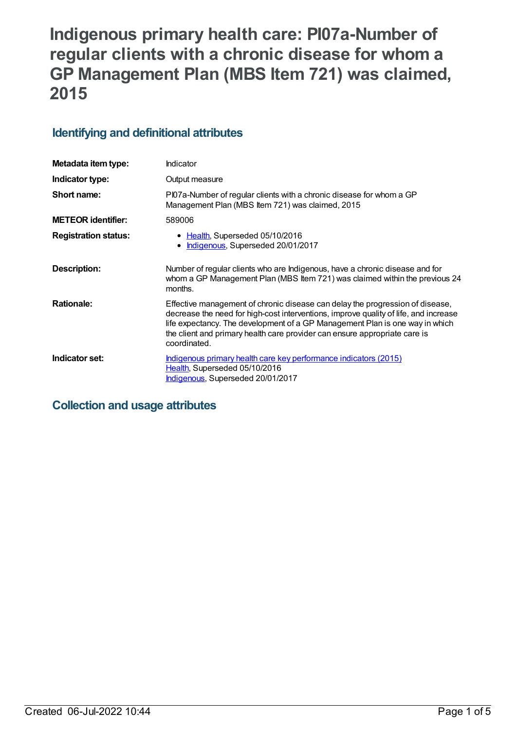# **Indigenous primary health care: PI07a-Number of regular clients with a chronic disease for whom a GP Management Plan (MBS Item 721) was claimed, 2015**

## **Identifying and definitional attributes**

| Metadata item type:         | Indicator                                                                                                                                                                                                                                                                                                                                           |
|-----------------------------|-----------------------------------------------------------------------------------------------------------------------------------------------------------------------------------------------------------------------------------------------------------------------------------------------------------------------------------------------------|
| Indicator type:             | Output measure                                                                                                                                                                                                                                                                                                                                      |
| Short name:                 | PI07a-Number of regular clients with a chronic disease for whom a GP<br>Management Plan (MBS Item 721) was claimed, 2015                                                                                                                                                                                                                            |
| <b>METEOR identifier:</b>   | 589006                                                                                                                                                                                                                                                                                                                                              |
| <b>Registration status:</b> | • Health, Superseded 05/10/2016<br>Indigenous, Superseded 20/01/2017                                                                                                                                                                                                                                                                                |
| Description:                | Number of regular clients who are Indigenous, have a chronic disease and for<br>whom a GP Management Plan (MBS Item 721) was claimed within the previous 24<br>months.                                                                                                                                                                              |
| <b>Rationale:</b>           | Effective management of chronic disease can delay the progression of disease,<br>decrease the need for high-cost interventions, improve quality of life, and increase<br>life expectancy. The development of a GP Management Plan is one way in which<br>the client and primary health care provider can ensure appropriate care is<br>coordinated. |
| Indicator set:              | Indigenous primary health care key performance indicators (2015)<br>Health, Superseded 05/10/2016<br>Indigenous, Superseded 20/01/2017                                                                                                                                                                                                              |

## **Collection and usage attributes**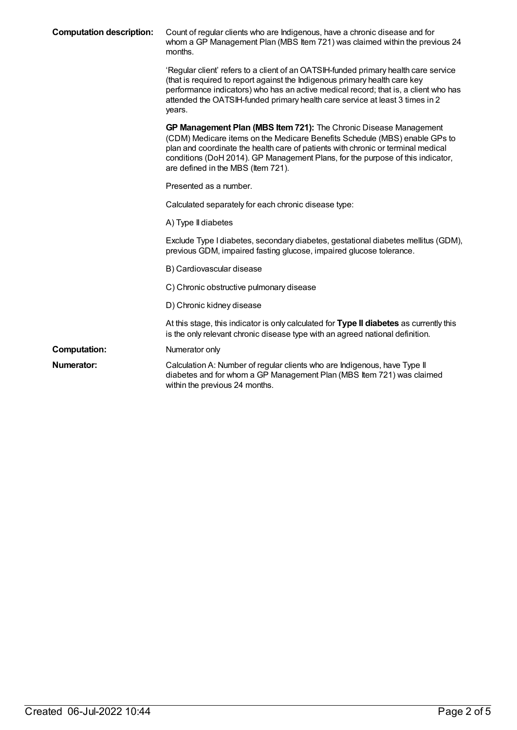| <b>Computation description:</b> | Count of regular clients who are Indigenous, have a chronic disease and for<br>whom a GP Management Plan (MBS Item 721) was claimed within the previous 24<br>months.                                                                                                                                                                                       |
|---------------------------------|-------------------------------------------------------------------------------------------------------------------------------------------------------------------------------------------------------------------------------------------------------------------------------------------------------------------------------------------------------------|
|                                 | 'Regular client' refers to a client of an OATSIH-funded primary health care service<br>(that is required to report against the Indigenous primary health care key<br>performance indicators) who has an active medical record; that is, a client who has<br>attended the OATSIH-funded primary health care service at least 3 times in 2<br>years.          |
|                                 | GP Management Plan (MBS Item 721): The Chronic Disease Management<br>(CDM) Medicare items on the Medicare Benefits Schedule (MBS) enable GPs to<br>plan and coordinate the health care of patients with chronic or terminal medical<br>conditions (DoH 2014). GP Management Plans, for the purpose of this indicator,<br>are defined in the MBS (Item 721). |
|                                 | Presented as a number.                                                                                                                                                                                                                                                                                                                                      |
|                                 | Calculated separately for each chronic disease type:                                                                                                                                                                                                                                                                                                        |
|                                 | A) Type II diabetes                                                                                                                                                                                                                                                                                                                                         |
|                                 | Exclude Type I diabetes, secondary diabetes, gestational diabetes mellitus (GDM),<br>previous GDM, impaired fasting glucose, impaired glucose tolerance.                                                                                                                                                                                                    |
|                                 | B) Cardiovascular disease                                                                                                                                                                                                                                                                                                                                   |
|                                 | C) Chronic obstructive pulmonary disease                                                                                                                                                                                                                                                                                                                    |
|                                 | D) Chronic kidney disease                                                                                                                                                                                                                                                                                                                                   |
|                                 | At this stage, this indicator is only calculated for Type II diabetes as currently this<br>is the only relevant chronic disease type with an agreed national definition.                                                                                                                                                                                    |
| <b>Computation:</b>             | Numerator only                                                                                                                                                                                                                                                                                                                                              |
| Numerator:                      | Calculation A: Number of regular clients who are Indigenous, have Type II<br>diabetes and for whom a GP Management Plan (MBS Item 721) was claimed<br>within the previous 24 months.                                                                                                                                                                        |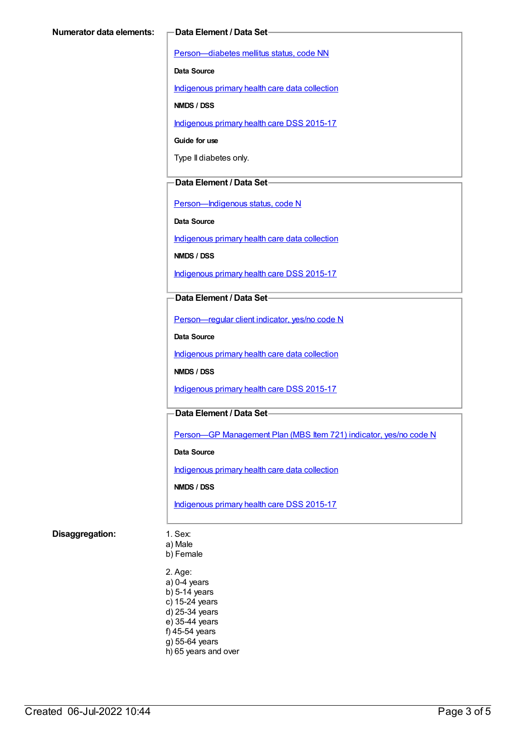[Person—diabetes](https://meteor.aihw.gov.au/content/270194) mellitus status, code NN

**Data Source**

[Indigenous](https://meteor.aihw.gov.au/content/430643) primary health care data collection

**NMDS / DSS**

[Indigenous](https://meteor.aihw.gov.au/content/585036) primary health care DSS 2015-17

**Guide for use**

Type II diabetes only.

#### **Data Element / Data Set**

[Person—Indigenous](https://meteor.aihw.gov.au/content/291036) status, code N

**Data Source**

[Indigenous](https://meteor.aihw.gov.au/content/430643) primary health care data collection

**NMDS / DSS**

[Indigenous](https://meteor.aihw.gov.au/content/585036) primary health care DSS 2015-17

#### **Data Element / Data Set**

[Person—regular](https://meteor.aihw.gov.au/content/436639) client indicator, yes/no code N

**Data Source**

[Indigenous](https://meteor.aihw.gov.au/content/430643) primary health care data collection

**NMDS / DSS**

[Indigenous](https://meteor.aihw.gov.au/content/585036) primary health care DSS 2015-17

#### **Data Element / Data Set**

Person-GP [Management](https://meteor.aihw.gov.au/content/504966) Plan (MBS Item 721) indicator, yes/no code N

**Data Source**

[Indigenous](https://meteor.aihw.gov.au/content/430643) primary health care data collection

**NMDS / DSS**

[Indigenous](https://meteor.aihw.gov.au/content/585036) primary health care DSS 2015-17

#### **Disaggregation:** 1. Sex:

a) Male

b) Female

2. Age: a) 0-4 years b) 5-14 years c) 15-24 years d) 25-34 years e) 35-44 years f) 45-54 years g) 55-64 years h) 65 years and over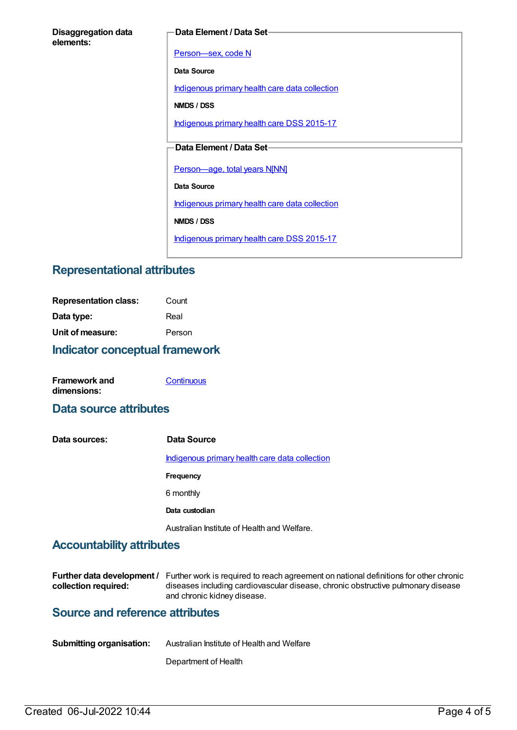#### **Data Element / Data Set**

[Person—sex,](https://meteor.aihw.gov.au/content/287316) code N

**Data Source**

[Indigenous](https://meteor.aihw.gov.au/content/430643) primary health care data collection

**NMDS / DSS**

[Indigenous](https://meteor.aihw.gov.au/content/585036) primary health care DSS 2015-17

#### **Data Element / Data Set**

[Person—age,](https://meteor.aihw.gov.au/content/303794) total years N[NN]

**Data Source**

[Indigenous](https://meteor.aihw.gov.au/content/430643) primary health care data collection

**NMDS / DSS**

[Indigenous](https://meteor.aihw.gov.au/content/585036) primary health care DSS 2015-17

## **Representational attributes**

| <b>Indicator conceptual framework</b> |        |
|---------------------------------------|--------|
| Unit of measure:                      | Person |
| Data type:                            | Real   |
| <b>Representation class:</b>          | Count  |

| <b>Framework and</b> | Continuous |
|----------------------|------------|
| dimensions:          |            |

### **Data source attributes**

**Data sources: Data Source** [Indigenous](https://meteor.aihw.gov.au/content/430643) primary health care data collection **Frequency** 6 monthly **Data custodian** Australian Institute of Health and Welfare.

## **Accountability attributes**

|                      | <b>Further data development</b> / Further work is required to reach agreement on national definitions for other chronic |
|----------------------|-------------------------------------------------------------------------------------------------------------------------|
| collection required: | diseases including cardiovascular disease, chronic obstructive pulmonary disease                                        |
|                      | and chronic kidney disease.                                                                                             |

## **Source and reference attributes**

| <b>Submitting organisation:</b> | Australian Institute of Health and Welfare |
|---------------------------------|--------------------------------------------|
|                                 |                                            |

Department of Health